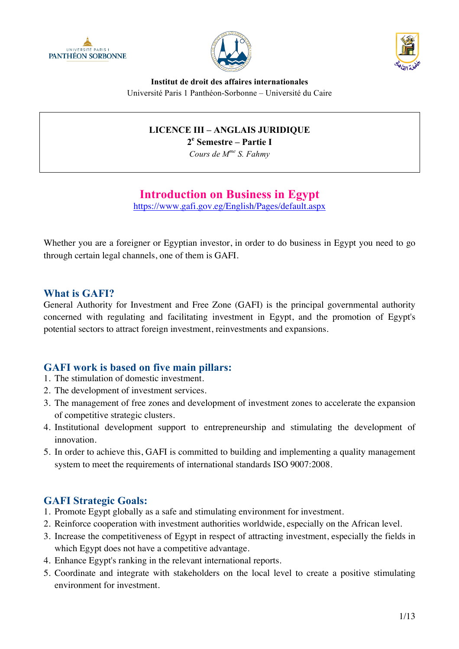





**Institut de droit des affaires internationales** Université Paris 1 Panthéon-Sorbonne – Université du Caire

# **LICENCE III – ANGLAIS JURIDIQUE**

**2e Semestre – Partie I**

*Cours de Mme S. Fahmy*

# **Introduction on Business in Egypt**

https://www.gafi.gov.eg/English/Pages/default.aspx

Whether you are a foreigner or Egyptian investor, in order to do business in Egypt you need to go through certain legal channels, one of them is GAFI.

# **What is GAFI?**

General Authority for Investment and Free Zone (GAFI) is the principal governmental authority concerned with regulating and facilitating investment in Egypt, and the promotion of Egypt's potential sectors to attract foreign investment, reinvestments and expansions.

# **GAFI work is based on five main pillars:**

- 1. The stimulation of domestic investment.
- 2. The development of investment services.
- 3. The management of free zones and development of investment zones to accelerate the expansion of competitive strategic clusters.
- 4. Institutional development support to entrepreneurship and stimulating the development of innovation.
- 5. In order to achieve this, GAFI is committed to building and implementing a quality management system to meet the requirements of international standards ISO 9007:2008.

# **GAFI Strategic Goals:**

- 1. Promote Egypt globally as a safe and stimulating environment for investment.
- 2. Reinforce cooperation with investment authorities worldwide, especially on the African level.
- 3. Increase the competitiveness of Egypt in respect of attracting investment, especially the fields in which Egypt does not have a competitive advantage.
- 4. Enhance Egypt's ranking in the relevant international reports.
- 5. Coordinate and integrate with stakeholders on the local level to create a positive stimulating environment for investment.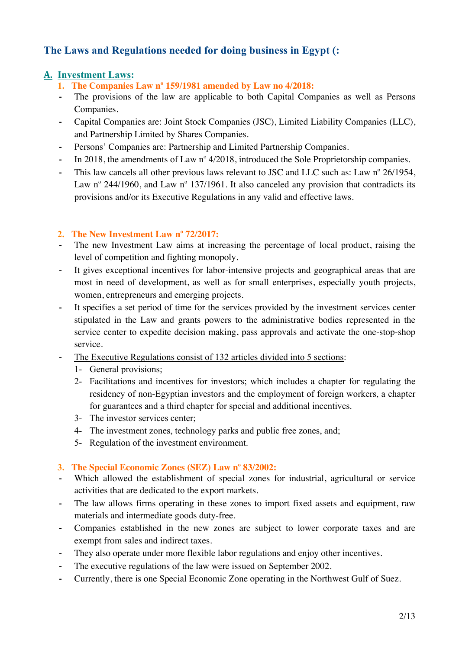# **The Laws and Regulations needed for doing business in Egypt (:**

# **A. Investment Laws:**

- **1. The Companies Law n<sup>o</sup> 159/1981 amended by Law no 4/2018:**
- **-** The provisions of the law are applicable to both Capital Companies as well as Persons Companies.
- **-** Capital Companies are: Joint Stock Companies (JSC), Limited Liability Companies (LLC), and Partnership Limited by Shares Companies.
- **-** Persons' Companies are: Partnership and Limited Partnership Companies.
- In 2018, the amendments of Law n<sup>o</sup> 4/2018, introduced the Sole Proprietorship companies.
- This law cancels all other previous laws relevant to JSC and LLC such as: Law n<sup>o</sup> 26/1954, Law n° 244/1960, and Law n° 137/1961. It also canceled any provision that contradicts its provisions and/or its Executive Regulations in any valid and effective laws.

## **2. The New Investment Law n<sup>o</sup> 72/2017:**

- The new Investment Law aims at increasing the percentage of local product, raising the level of competition and fighting monopoly.
- **-** It gives exceptional incentives for labor-intensive projects and geographical areas that are most in need of development, as well as for small enterprises, especially youth projects, women, entrepreneurs and emerging projects.
- **-** It specifies a set period of time for the services provided by the investment services center stipulated in the Law and grants powers to the administrative bodies represented in the service center to expedite decision making, pass approvals and activate the one-stop-shop service.
- **-** The Executive Regulations consist of 132 articles divided into 5 sections:
	- 1- General provisions;
	- 2- Facilitations and incentives for investors; which includes a chapter for regulating the residency of non-Egyptian investors and the employment of foreign workers, a chapter for guarantees and a third chapter for special and additional incentives.
	- 3- The investor services center;
	- 4- The investment zones, technology parks and public free zones, and;
	- 5- Regulation of the investment environment.

### **3. The Special Economic Zones (SEZ) Law n<sup>o</sup> 83/2002:**

- **-** Which allowed the establishment of special zones for industrial, agricultural or service activities that are dedicated to the export markets.
- **-** The law allows firms operating in these zones to import fixed assets and equipment, raw materials and intermediate goods duty-free.
- **-** Companies established in the new zones are subject to lower corporate taxes and are exempt from sales and indirect taxes.
- **-** They also operate under more flexible labor regulations and enjoy other incentives.
- **-** The executive regulations of the law were issued on September 2002.
- **-** Currently, there is one Special Economic Zone operating in the Northwest Gulf of Suez.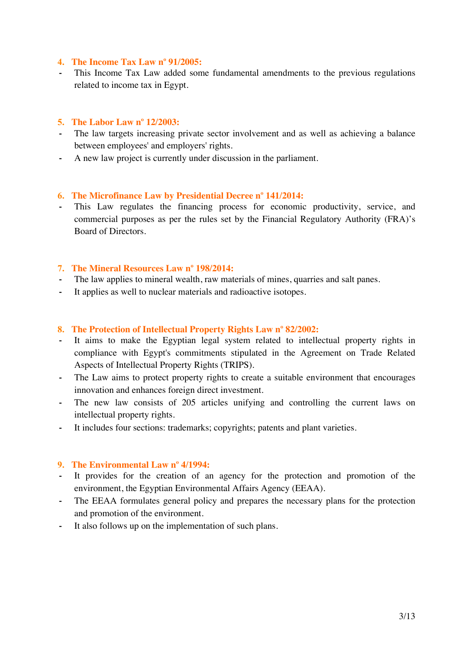#### **4. The Income Tax Law n<sup>o</sup> 91/2005:**

**-** This Income Tax Law added some fundamental amendments to the previous regulations related to income tax in Egypt.

#### **5. The Labor Law n<sup>o</sup> 12/2003:**

- **-** The law targets increasing private sector involvement and as well as achieving a balance between employees' and employers' rights.
- **-** A new law project is currently under discussion in the parliament.

#### **6. The Microfinance Law by Presidential Decree n<sup>o</sup> 141/2014:**

This Law regulates the financing process for economic productivity, service, and commercial purposes as per the rules set by the Financial Regulatory Authority (FRA)'s Board of Directors.

### **7. The Mineral Resources Law n<sup>o</sup> 198/2014:**

- The law applies to mineral wealth, raw materials of mines, quarries and salt panes.
- **-** It applies as well to nuclear materials and radioactive isotopes.

#### **8. The Protection of Intellectual Property Rights Law n<sup>o</sup> 82/2002:**

- It aims to make the Egyptian legal system related to intellectual property rights in compliance with Egypt's commitments stipulated in the Agreement on Trade Related Aspects of Intellectual Property Rights (TRIPS).
- **-** The Law aims to protect property rights to create a suitable environment that encourages innovation and enhances foreign direct investment.
- The new law consists of 205 articles unifying and controlling the current laws on intellectual property rights.
- **-** It includes four sections: trademarks; copyrights; patents and plant varieties.

### **9. The Environmental Law n<sup>o</sup> 4/1994:**

- It provides for the creation of an agency for the protection and promotion of the environment, the Egyptian Environmental Affairs Agency (EEAA).
- The EEAA formulates general policy and prepares the necessary plans for the protection and promotion of the environment.
- **-** It also follows up on the implementation of such plans.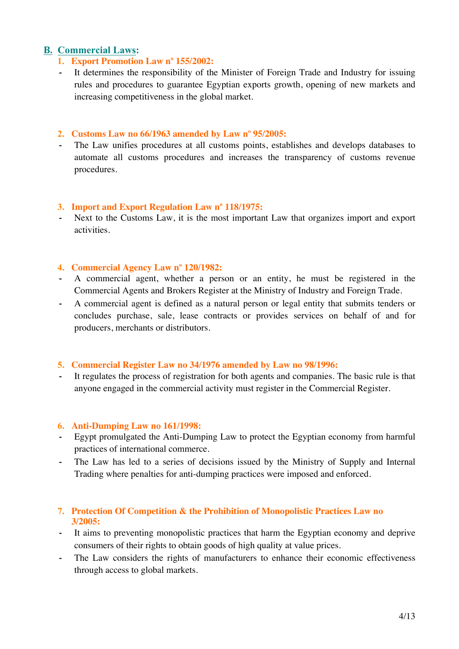# **B. Commercial Laws:**

- **1. Export Promotion Law n<sup>o</sup> 155/2002:**
- **-** It determines the responsibility of the Minister of Foreign Trade and Industry for issuing rules and procedures to guarantee Egyptian exports growth, opening of new markets and increasing competitiveness in the global market.

#### **2. Customs Law no 66/1963 amended by Law n<sup>o</sup> 95/2005:**

**-** The Law unifies procedures at all customs points, establishes and develops databases to automate all customs procedures and increases the transparency of customs revenue procedures.

#### **3. Import and Export Regulation Law n<sup>o</sup> 118/1975:**

**-** Next to the Customs Law, it is the most important Law that organizes import and export activities.

#### **4. Commercial Agency Law n<sup>o</sup> 120/1982:**

- **-** A commercial agent, whether a person or an entity, he must be registered in the Commercial Agents and Brokers Register at the Ministry of Industry and Foreign Trade.
- **-** A commercial agent is defined as a natural person or legal entity that submits tenders or concludes purchase, sale, lease contracts or provides services on behalf of and for producers, merchants or distributors.

### **5. Commercial Register Law no 34/1976 amended by Law no 98/1996:**

**-** It regulates the process of registration for both agents and companies. The basic rule is that anyone engaged in the commercial activity must register in the Commercial Register.

#### **6. Anti-Dumping Law no 161/1998:**

- **-** Egypt promulgated the Anti-Dumping Law to protect the Egyptian economy from harmful practices of international commerce.
- **-** The Law has led to a series of decisions issued by the Ministry of Supply and Internal Trading where penalties for anti-dumping practices were imposed and enforced.

### **7. Protection Of Competition & the Prohibition of Monopolistic Practices Law no 3/2005:**

- **-** It aims to preventing monopolistic practices that harm the Egyptian economy and deprive consumers of their rights to obtain goods of high quality at value prices.
- The Law considers the rights of manufacturers to enhance their economic effectiveness through access to global markets.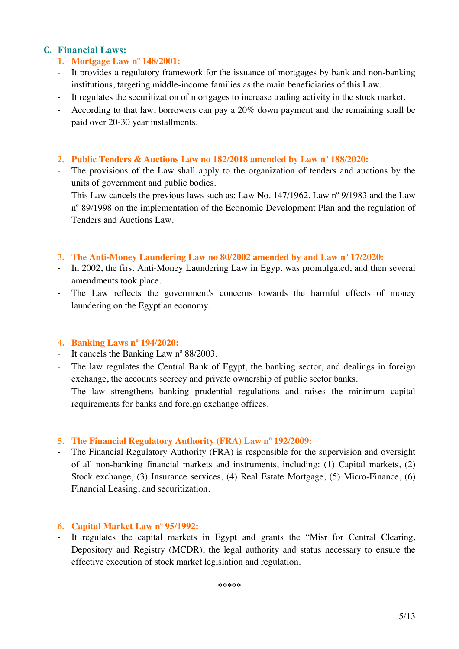# **C. Financial Laws:**

# **1. Mortgage Law n<sup>o</sup> 148/2001:**

- It provides a regulatory framework for the issuance of mortgages by bank and non-banking institutions, targeting middle-income families as the main beneficiaries of this Law.
- It regulates the securitization of mortgages to increase trading activity in the stock market.
- According to that law, borrowers can pay a 20% down payment and the remaining shall be paid over 20-30 year installments.

#### **2. Public Tenders & Auctions Law no 182/2018 amended by Law n<sup>o</sup> 188/2020:**

- The provisions of the Law shall apply to the organization of tenders and auctions by the units of government and public bodies.
- This Law cancels the previous laws such as: Law No.  $147/1962$ , Law n° 9/1983 and the Law n<sup>o</sup> 89/1998 on the implementation of the Economic Development Plan and the regulation of Tenders and Auctions Law.

#### **3. The Anti-Money Laundering Law no 80/2002 amended by and Law n<sup>o</sup> 17/2020:**

- In 2002, the first Anti-Money Laundering Law in Egypt was promulgated, and then several amendments took place.
- The Law reflects the government's concerns towards the harmful effects of money laundering on the Egyptian economy.

#### **4. Banking Laws n<sup>o</sup> 194/2020:**

- It cancels the Banking Law  $n^{\circ}$  88/2003.
- The law regulates the Central Bank of Egypt, the banking sector, and dealings in foreign exchange, the accounts secrecy and private ownership of public sector banks.
- The law strengthens banking prudential regulations and raises the minimum capital requirements for banks and foreign exchange offices.

### **5. The Financial Regulatory Authority (FRA) Law n<sup>o</sup> 192/2009:**

- The Financial Regulatory Authority (FRA) is responsible for the supervision and oversight of all non-banking financial markets and instruments, including: (1) Capital markets, (2) Stock exchange, (3) Insurance services, (4) Real Estate Mortgage, (5) Micro-Finance, (6) Financial Leasing, and securitization.

### **6. Capital Market Law n<sup>o</sup> 95/1992:**

- It regulates the capital markets in Egypt and grants the "Misr for Central Clearing, Depository and Registry (MCDR), the legal authority and status necessary to ensure the effective execution of stock market legislation and regulation.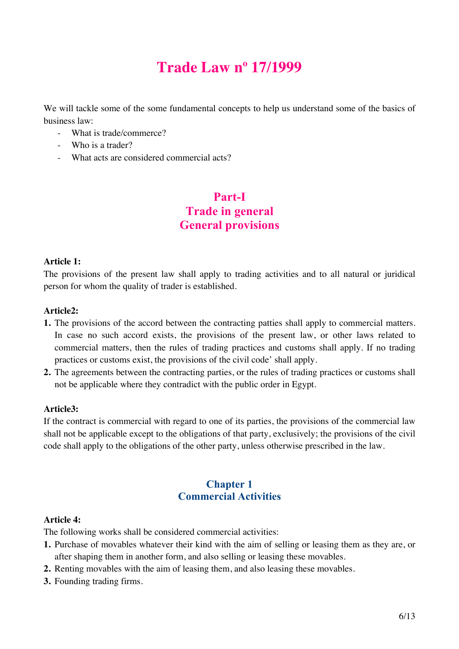# **Trade Law no 17/1999**

We will tackle some of the some fundamental concepts to help us understand some of the basics of business law:

- What is trade/commerce?
- Who is a trader?
- What acts are considered commercial acts?

# **Part-I Trade in general General provisions**

#### **Article 1:**

The provisions of the present law shall apply to trading activities and to all natural or juridical person for whom the quality of trader is established.

#### **Article2:**

- **1.** The provisions of the accord between the contracting patties shall apply to commercial matters. In case no such accord exists, the provisions of the present law, or other laws related to commercial matters, then the rules of trading practices and customs shall apply. If no trading practices or customs exist, the provisions of the civil code' shall apply.
- **2.** The agreements between the contracting parties, or the rules of trading practices or customs shall not be applicable where they contradict with the public order in Egypt.

#### **Article3:**

If the contract is commercial with regard to one of its parties, the provisions of the commercial law shall not be applicable except to the obligations of that party, exclusively; the provisions of the civil code shall apply to the obligations of the other party, unless otherwise prescribed in the law.

# **Chapter 1 Commercial Activities**

#### **Article 4:**

The following works shall be considered commercial activities:

- **1.** Purchase of movables whatever their kind with the aim of selling or leasing them as they are, or after shaping them in another form, and also selling or leasing these movables.
- **2.** Renting movables with the aim of leasing them, and also leasing these movables.
- **3.** Founding trading firms.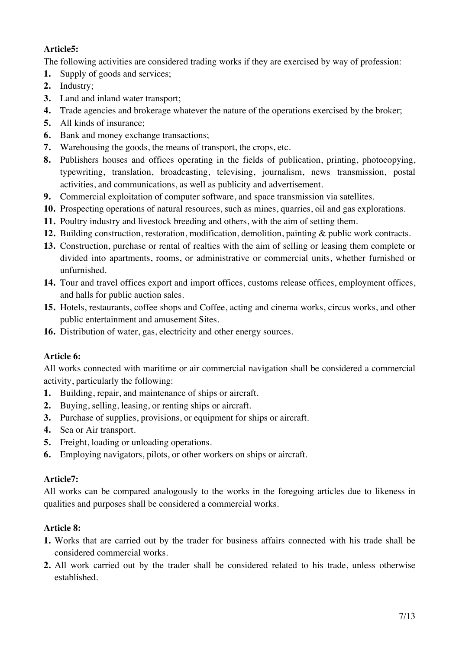# **Article5:**

The following activities are considered trading works if they are exercised by way of profession:

- **1.** Supply of goods and services;
- **2.** Industry;
- **3.** Land and inland water transport;
- **4.** Trade agencies and brokerage whatever the nature of the operations exercised by the broker;
- **5.** All kinds of insurance;
- **6.** Bank and money exchange transactions;
- **7.** Warehousing the goods, the means of transport, the crops, etc.
- **8.** Publishers houses and offices operating in the fields of publication, printing, photocopying, typewriting, translation, broadcasting, televising, journalism, news transmission, postal activities, and communications, as well as publicity and advertisement.
- **9.** Commercial exploitation of computer software, and space transmission via satellites.
- **10.** Prospecting operations of natural resources, such as mines, quarries, oil and gas explorations.
- **11.** Poultry industry and livestock breeding and others, with the aim of setting them.
- **12.** Building construction, restoration, modification, demolition, painting & public work contracts.
- **13.** Construction, purchase or rental of realties with the aim of selling or leasing them complete or divided into apartments, rooms, or administrative or commercial units, whether furnished or unfurnished.
- **14.** Tour and travel offices export and import offices, customs release offices, employment offices, and halls for public auction sales.
- **15.** Hotels, restaurants, coffee shops and Coffee, acting and cinema works, circus works, and other public entertainment and amusement Sites.
- **16.** Distribution of water, gas, electricity and other energy sources.

# **Article 6:**

All works connected with maritime or air commercial navigation shall be considered a commercial activity, particularly the following:

- **1.** Building, repair, and maintenance of ships or aircraft.
- **2.** Buying, selling, leasing, or renting ships or aircraft.
- **3.** Purchase of supplies, provisions, or equipment for ships or aircraft.
- **4.** Sea or Air transport.
- **5.** Freight, loading or unloading operations.
- **6.** Employing navigators, pilots, or other workers on ships or aircraft.

# **Article7:**

All works can be compared analogously to the works in the foregoing articles due to likeness in qualities and purposes shall be considered a commercial works.

# **Article 8:**

- **1.** Works that are carried out by the trader for business affairs connected with his trade shall be considered commercial works.
- **2.** All work carried out by the trader shall be considered related to his trade, unless otherwise established.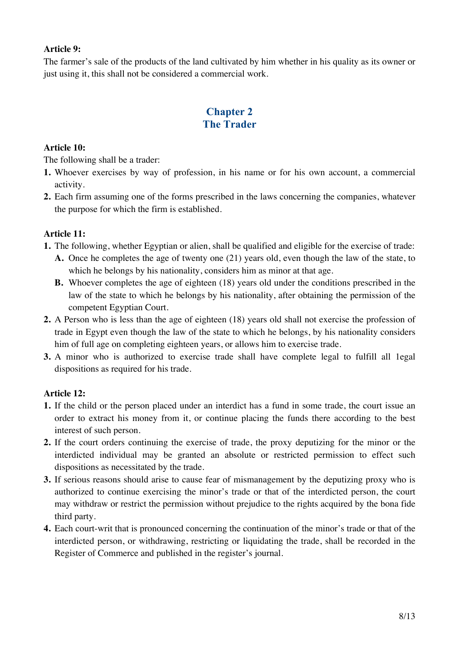## **Article 9:**

The farmer's sale of the products of the land cultivated by him whether in his quality as its owner or just using it, this shall not be considered a commercial work.

# **Chapter 2 The Trader**

### **Article 10:**

The following shall be a trader:

- **1.** Whoever exercises by way of profession, in his name or for his own account, a commercial activity.
- **2.** Each firm assuming one of the forms prescribed in the laws concerning the companies, whatever the purpose for which the firm is established.

### **Article 11:**

- **1.** The following, whether Egyptian or alien, shall be qualified and eligible for the exercise of trade:
	- **A.** Once he completes the age of twenty one (21) years old, even though the law of the state, to which he belongs by his nationality, considers him as minor at that age.
	- **B.** Whoever completes the age of eighteen (18) years old under the conditions prescribed in the law of the state to which he belongs by his nationality, after obtaining the permission of the competent Egyptian Court.
- **2.** A Person who is less than the age of eighteen (18) years old shall not exercise the profession of trade in Egypt even though the law of the state to which he belongs, by his nationality considers him of full age on completing eighteen years, or allows him to exercise trade.
- **3.** A minor who is authorized to exercise trade shall have complete legal to fulfill all 1egal dispositions as required for his trade.

# **Article 12:**

- **1.** If the child or the person placed under an interdict has a fund in some trade, the court issue an order to extract his money from it, or continue placing the funds there according to the best interest of such person.
- **2.** If the court orders continuing the exercise of trade, the proxy deputizing for the minor or the interdicted individual may be granted an absolute or restricted permission to effect such dispositions as necessitated by the trade.
- **3.** If serious reasons should arise to cause fear of mismanagement by the deputizing proxy who is authorized to continue exercising the minor's trade or that of the interdicted person, the court may withdraw or restrict the permission without prejudice to the rights acquired by the bona fide third party.
- **4.** Each court-writ that is pronounced concerning the continuation of the minor's trade or that of the interdicted person, or withdrawing, restricting or liquidating the trade, shall be recorded in the Register of Commerce and published in the register's journal.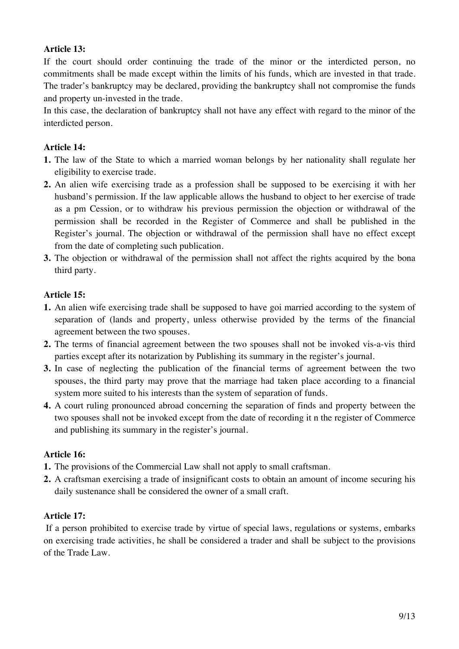## **Article 13:**

If the court should order continuing the trade of the minor or the interdicted person, no commitments shall be made except within the limits of his funds, which are invested in that trade. The trader's bankruptcy may be declared, providing the bankruptcy shall not compromise the funds and property un-invested in the trade.

In this case, the declaration of bankruptcy shall not have any effect with regard to the minor of the interdicted person.

## **Article 14:**

- **1.** The law of the State to which a married woman belongs by her nationality shall regulate her eligibility to exercise trade.
- **2.** An alien wife exercising trade as a profession shall be supposed to be exercising it with her husband's permission. If the law applicable allows the husband to object to her exercise of trade as a pm Cession, or to withdraw his previous permission the objection or withdrawal of the permission shall be recorded in the Register of Commerce and shall be published in the Register's journal. The objection or withdrawal of the permission shall have no effect except from the date of completing such publication.
- **3.** The objection or withdrawal of the permission shall not affect the rights acquired by the bona third party.

### **Article 15:**

- **1.** An alien wife exercising trade shall be supposed to have goi married according to the system of separation of (lands and property, unless otherwise provided by the terms of the financial agreement between the two spouses.
- **2.** The terms of financial agreement between the two spouses shall not be invoked vis-a-vis third parties except after its notarization by Publishing its summary in the register's journal.
- **3.** In case of neglecting the publication of the financial terms of agreement between the two spouses, the third party may prove that the marriage had taken place according to a financial system more suited to his interests than the system of separation of funds.
- **4.** A court ruling pronounced abroad concerning the separation of finds and property between the two spouses shall not be invoked except from the date of recording it n the register of Commerce and publishing its summary in the register's journal.

### **Article 16:**

- **1.** The provisions of the Commercial Law shall not apply to small craftsman.
- **2.** A craftsman exercising a trade of insignificant costs to obtain an amount of income securing his daily sustenance shall be considered the owner of a small craft.

### **Article 17:**

If a person prohibited to exercise trade by virtue of special laws, regulations or systems, embarks on exercising trade activities, he shall be considered a trader and shall be subject to the provisions of the Trade Law.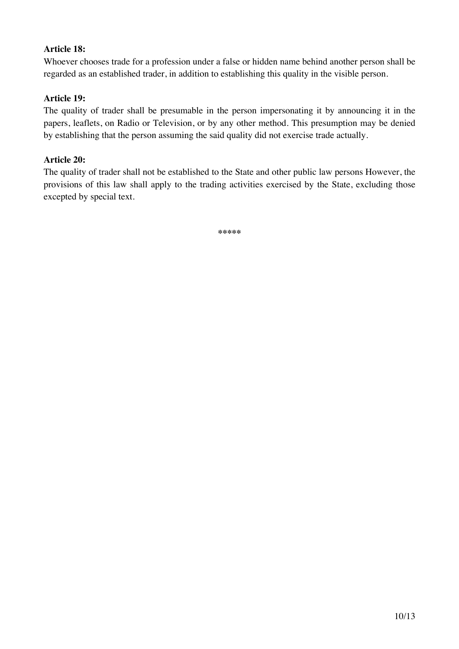## **Article 18:**

Whoever chooses trade for a profession under a false or hidden name behind another person shall be regarded as an established trader, in addition to establishing this quality in the visible person.

## **Article 19:**

The quality of trader shall be presumable in the person impersonating it by announcing it in the papers, leaflets, on Radio or Television, or by any other method. This presumption may be denied by establishing that the person assuming the said quality did not exercise trade actually.

#### **Article 20:**

The quality of trader shall not be established to the State and other public law persons However, the provisions of this law shall apply to the trading activities exercised by the State, excluding those excepted by special text.

**\*\*\*\*\***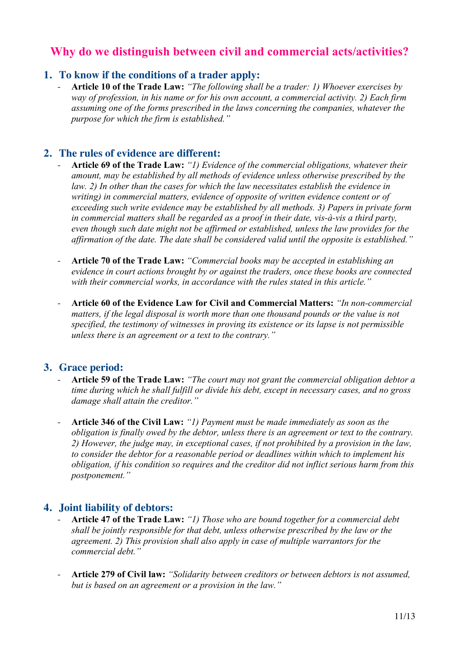# **Why do we distinguish between civil and commercial acts/activities?**

# **1. To know if the conditions of a trader apply:**

- **Article 10 of the Trade Law:** *"The following shall be a trader: 1) Whoever exercises by way of profession, in his name or for his own account, a commercial activity. 2) Each firm assuming one of the forms prescribed in the laws concerning the companies, whatever the purpose for which the firm is established."*

# **2. The rules of evidence are different:**

- **Article 69 of the Trade Law:** *"1) Evidence of the commercial obligations, whatever their amount, may be established by all methods of evidence unless otherwise prescribed by the law. 2) In other than the cases for which the law necessitates establish the evidence in writing) in commercial matters, evidence of opposite of written evidence content or of exceeding such write evidence may be established by all methods. 3) Papers in private form in commercial matters shall be regarded as a proof in their date, vis-à-vis a third party, even though such date might not be affirmed or established, unless the law provides for the affirmation of the date. The date shall be considered valid until the opposite is established."*
- **Article 70 of the Trade Law:** *"Commercial books may be accepted in establishing an evidence in court actions brought by or against the traders, once these books are connected with their commercial works, in accordance with the rules stated in this article."*
- **Article 60 of the Evidence Law for Civil and Commercial Matters:** *"In non-commercial matters, if the legal disposal is worth more than one thousand pounds or the value is not specified, the testimony of witnesses in proving its existence or its lapse is not permissible unless there is an agreement or a text to the contrary."*

# **3. Grace period:**

- **Article 59 of the Trade Law:** *"The court may not grant the commercial obligation debtor a time during which he shall fulfill or divide his debt, except in necessary cases, and no gross damage shall attain the creditor."*
- **Article 346 of the Civil Law:** *"1) Payment must be made immediately as soon as the obligation is finally owed by the debtor, unless there is an agreement or text to the contrary. 2) However, the judge may, in exceptional cases, if not prohibited by a provision in the law, to consider the debtor for a reasonable period or deadlines within which to implement his obligation, if his condition so requires and the creditor did not inflict serious harm from this postponement."*

# **4. Joint liability of debtors:**

- **Article 47 of the Trade Law:** *"1) Those who are bound together for a commercial debt shall be jointly responsible for that debt, unless otherwise prescribed by the law or the agreement. 2) This provision shall also apply in case of multiple warrantors for the commercial debt."*
- **Article 279 of Civil law:** *"Solidarity between creditors or between debtors is not assumed, but is based on an agreement or a provision in the law."*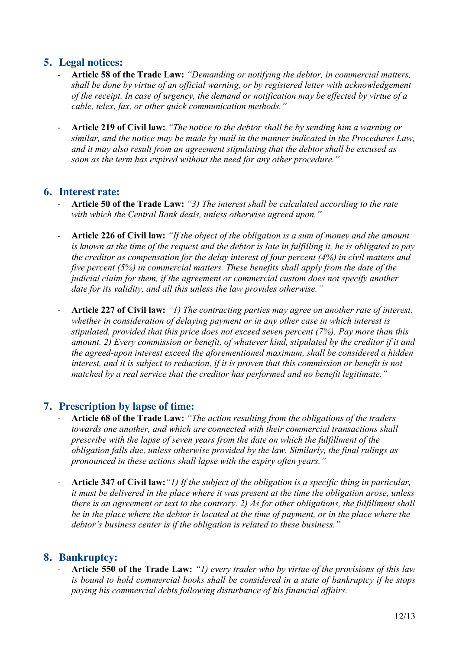# **5. Legal notices:**

- **Article 58 of the Trade Law:** *"Demanding or notifying the debtor, in commercial matters, shall be done by virtue of an official warning, or by registered letter with acknowledgement of the receipt. In case of urgency, the demand or notification may be effected by virtue of a cable, telex, fax, or other quick communication methods."*
- **Article 219 of Civil law:** *"The notice to the debtor shall be by sending him a warning or similar, and the notice may be made by mail in the manner indicated in the Procedures Law, and it may also result from an agreement stipulating that the debtor shall be excused as soon as the term has expired without the need for any other procedure."*

# **6. Interest rate:**

- **Article 50 of the Trade Law:** *"3) The interest shall be calculated according to the rate with which the Central Bank deals, unless otherwise agreed upon."*
- **Article 226 of Civil law:** *"If the object of the obligation is a sum of money and the amount is known at the time of the request and the debtor is late in fulfilling it, he is obligated to pay the creditor as compensation for the delay interest of four percent (4%) in civil matters and five percent (5%) in commercial matters. These benefits shall apply from the date of the judicial claim for them, if the agreement or commercial custom does not specify another date for its validity, and all this unless the law provides otherwise."*
- **Article 227 of Civil law:** *"1) The contracting parties may agree on another rate of interest, whether in consideration of delaying payment or in any other case in which interest is stipulated, provided that this price does not exceed seven percent (7%). Pay more than this amount. 2) Every commission or benefit, of whatever kind, stipulated by the creditor if it and the agreed-upon interest exceed the aforementioned maximum, shall be considered a hidden interest, and it is subject to reduction, if it is proven that this commission or benefit is not matched by a real service that the creditor has performed and no benefit legitimate."*

# **7. Prescription by lapse of time:**

- **Article 68 of the Trade Law:** *"The action resulting from the obligations of the traders towards one another, and which are connected with their commercial transactions shall prescribe with the lapse of seven years from the date on which the fulfillment of the obligation falls due, unless otherwise provided by the law. Similarly, the final rulings as pronounced in these actions shall lapse with the expiry often years."*
- **Article 347 of Civil law:***"1) If the subject of the obligation is a specific thing in particular, it must be delivered in the place where it was present at the time the obligation arose, unless there is an agreement or text to the contrary. 2) As for other obligations, the fulfillment shall be in the place where the debtor is located at the time of payment, or in the place where the debtor's business center is if the obligation is related to these business."*

# **8. Bankruptcy:**

- **Article 550 of the Trade Law:** *"1) every trader who by virtue of the provisions of this law is bound to hold commercial books shall be considered in a state of bankruptcy if he stops paying his commercial debts following disturbance of his financial affairs.*